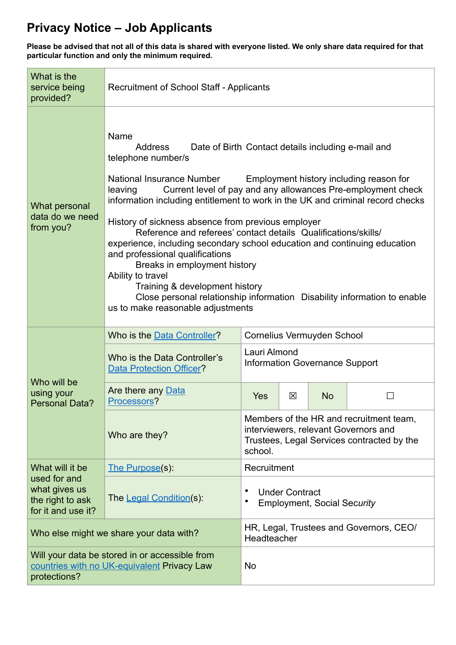## **Privacy Notice – Job Applicants**

**Please be advised that not all of this data is shared with everyone listed. We only share data required for that particular function and only the minimum required.**

| What is the<br>service being<br>provided?                                                                     | <b>Recruitment of School Staff - Applicants</b>                                                                                                                                                                                                                                                                                                                                                                                                                                                                                                                                                                                                                                                                                                                                  |                                                                                                                                          |   |           |  |  |  |
|---------------------------------------------------------------------------------------------------------------|----------------------------------------------------------------------------------------------------------------------------------------------------------------------------------------------------------------------------------------------------------------------------------------------------------------------------------------------------------------------------------------------------------------------------------------------------------------------------------------------------------------------------------------------------------------------------------------------------------------------------------------------------------------------------------------------------------------------------------------------------------------------------------|------------------------------------------------------------------------------------------------------------------------------------------|---|-----------|--|--|--|
| What personal<br>data do we need<br>from you?                                                                 | Name<br>Address<br>Date of Birth Contact details including e-mail and<br>telephone number/s<br>National Insurance Number<br>Employment history including reason for<br>Current level of pay and any allowances Pre-employment check<br>leaving<br>information including entitlement to work in the UK and criminal record checks<br>History of sickness absence from previous employer<br>Reference and referees' contact details Qualifications/skills/<br>experience, including secondary school education and continuing education<br>and professional qualifications<br>Breaks in employment history<br>Ability to travel<br>Training & development history<br>Close personal relationship information Disability information to enable<br>us to make reasonable adjustments |                                                                                                                                          |   |           |  |  |  |
| Who will be<br>using your<br><b>Personal Data?</b>                                                            | Who is the Data Controller?                                                                                                                                                                                                                                                                                                                                                                                                                                                                                                                                                                                                                                                                                                                                                      | Cornelius Vermuyden School                                                                                                               |   |           |  |  |  |
|                                                                                                               | Who is the Data Controller's<br><b>Data Protection Officer?</b>                                                                                                                                                                                                                                                                                                                                                                                                                                                                                                                                                                                                                                                                                                                  | Lauri Almond<br>Information Governance Support                                                                                           |   |           |  |  |  |
|                                                                                                               | Are there any Data<br>Processors?                                                                                                                                                                                                                                                                                                                                                                                                                                                                                                                                                                                                                                                                                                                                                | <b>Yes</b>                                                                                                                               | 区 | <b>No</b> |  |  |  |
|                                                                                                               | Who are they?                                                                                                                                                                                                                                                                                                                                                                                                                                                                                                                                                                                                                                                                                                                                                                    | Members of the HR and recruitment team,<br>interviewers, relevant Governors and<br>Trustees, Legal Services contracted by the<br>school. |   |           |  |  |  |
| What will it be                                                                                               | The Purpose(s):                                                                                                                                                                                                                                                                                                                                                                                                                                                                                                                                                                                                                                                                                                                                                                  | Recruitment                                                                                                                              |   |           |  |  |  |
| used for and<br>what gives us<br>the right to ask<br>for it and use it?                                       | The Legal Condition(s):                                                                                                                                                                                                                                                                                                                                                                                                                                                                                                                                                                                                                                                                                                                                                          | <b>Under Contract</b><br><b>Employment, Social Security</b>                                                                              |   |           |  |  |  |
| Who else might we share your data with?                                                                       |                                                                                                                                                                                                                                                                                                                                                                                                                                                                                                                                                                                                                                                                                                                                                                                  | HR, Legal, Trustees and Governors, CEO/<br>Headteacher                                                                                   |   |           |  |  |  |
| Will your data be stored in or accessible from<br>countries with no UK-equivalent Privacy Law<br>protections? |                                                                                                                                                                                                                                                                                                                                                                                                                                                                                                                                                                                                                                                                                                                                                                                  | <b>No</b>                                                                                                                                |   |           |  |  |  |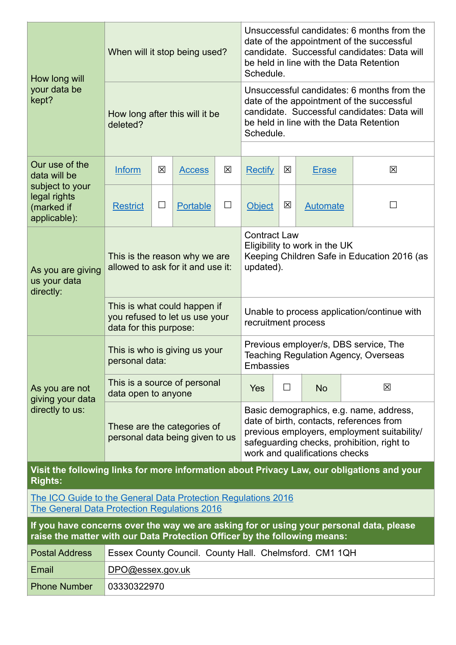| How long will<br>your data be<br>kept?                                                                                                                               | When will it stop being used?                                                                                                                                  |             |               | Unsuccessful candidates: 6 months from the<br>date of the appointment of the successful<br>candidate. Successful candidates: Data will<br>be held in line with the Data Retention<br>Schedule.                     |                |           |                 |        |
|----------------------------------------------------------------------------------------------------------------------------------------------------------------------|----------------------------------------------------------------------------------------------------------------------------------------------------------------|-------------|---------------|--------------------------------------------------------------------------------------------------------------------------------------------------------------------------------------------------------------------|----------------|-----------|-----------------|--------|
|                                                                                                                                                                      | How long after this will it be<br>deleted?                                                                                                                     |             |               | Unsuccessful candidates: 6 months from the<br>date of the appointment of the successful<br>candidate. Successful candidates: Data will<br>be held in line with the Data Retention<br>Schedule.                     |                |           |                 |        |
| Our use of the<br>data will be                                                                                                                                       | Inform                                                                                                                                                         | $\boxtimes$ | <b>Access</b> | $\boxtimes$                                                                                                                                                                                                        | <b>Rectify</b> | 区         | <b>Erase</b>    | 区      |
| subject to your<br>legal rights<br>(marked if<br>applicable):                                                                                                        | <b>Restrict</b>                                                                                                                                                | $\Box$      | Portable      | $\Box$                                                                                                                                                                                                             | <b>Object</b>  | 区         | <b>Automate</b> | $\Box$ |
| As you are giving<br>us your data<br>directly:                                                                                                                       | This is the reason why we are<br>allowed to ask for it and use it:                                                                                             |             |               | <b>Contract Law</b><br>Eligibility to work in the UK<br>Keeping Children Safe in Education 2016 (as<br>updated).                                                                                                   |                |           |                 |        |
|                                                                                                                                                                      | This is what could happen if<br>Unable to process application/continue with<br>you refused to let us use your<br>recruitment process<br>data for this purpose: |             |               |                                                                                                                                                                                                                    |                |           |                 |        |
| As you are not<br>giving your data<br>directly to us:                                                                                                                | Previous employer/s, DBS service, The<br>This is who is giving us your<br><b>Teaching Regulation Agency, Overseas</b><br>personal data:<br>Embassies           |             |               |                                                                                                                                                                                                                    |                |           |                 |        |
|                                                                                                                                                                      | This is a source of personal<br>data open to anyone                                                                                                            |             |               | <b>Yes</b>                                                                                                                                                                                                         | $\Box$         | <b>No</b> | 区               |        |
|                                                                                                                                                                      | These are the categories of<br>personal data being given to us                                                                                                 |             |               | Basic demographics, e.g. name, address,<br>date of birth, contacts, references from<br>previous employers, employment suitability/<br>safeguarding checks, prohibition, right to<br>work and qualifications checks |                |           |                 |        |
| Visit the following links for more information about Privacy Law, our obligations and your<br><b>Rights:</b>                                                         |                                                                                                                                                                |             |               |                                                                                                                                                                                                                    |                |           |                 |        |
| The ICO Guide to the General Data Protection Regulations 2016<br><b>The General Data Protection Regulations 2016</b>                                                 |                                                                                                                                                                |             |               |                                                                                                                                                                                                                    |                |           |                 |        |
| If you have concerns over the way we are asking for or using your personal data, please<br>raise the matter with our Data Protection Officer by the following means: |                                                                                                                                                                |             |               |                                                                                                                                                                                                                    |                |           |                 |        |
| <b>Postal Address</b>                                                                                                                                                | Essex County Council. County Hall. Chelmsford. CM1 1QH                                                                                                         |             |               |                                                                                                                                                                                                                    |                |           |                 |        |
| Email                                                                                                                                                                | DPO@essex.gov.uk                                                                                                                                               |             |               |                                                                                                                                                                                                                    |                |           |                 |        |
| <b>Phone Number</b>                                                                                                                                                  | 03330322970                                                                                                                                                    |             |               |                                                                                                                                                                                                                    |                |           |                 |        |